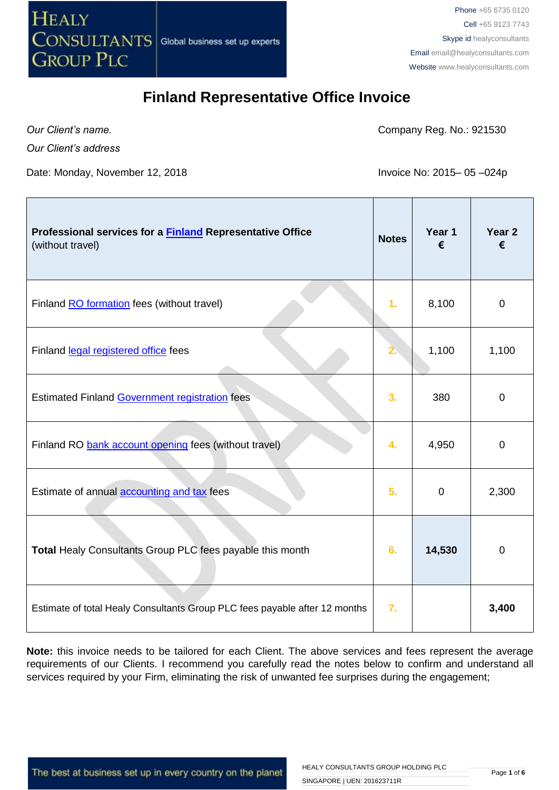

*Our Client's name.*

Company Reg. No.: 921530

*Our Client's address*

Date: Monday, November 12, 2018 Invoice No: 2015– 05-024p

| Professional services for a <b>Finland</b> Representative Office<br>(without travel) | <b>Notes</b> | Year 1<br>€ | Year <sub>2</sub><br>€ |
|--------------------------------------------------------------------------------------|--------------|-------------|------------------------|
| Finland RO formation fees (without travel)                                           | 1.           | 8,100       | 0                      |
| Finland legal registered office fees                                                 |              | 1,100       | 1,100                  |
| <b>Estimated Finland Government registration fees</b>                                | 3.           | 380         | $\mathbf 0$            |
| Finland RO bank account opening fees (without travel)                                | 4.           | 4,950       | $\Omega$               |
| Estimate of annual accounting and tax fees                                           | 5.           | $\mathbf 0$ | 2,300                  |
| Total Healy Consultants Group PLC fees payable this month                            | 6.           | 14,530      | 0                      |
| Estimate of total Healy Consultants Group PLC fees payable after 12 months           | 7.           |             | 3,400                  |

**Note:** this invoice needs to be tailored for each Client. The above services and fees represent the average requirements of our Clients. I recommend you carefully read the notes below to confirm and understand all services required by your Firm, eliminating the risk of unwanted fee surprises during the engagement;

The best at business set up in every country on the planet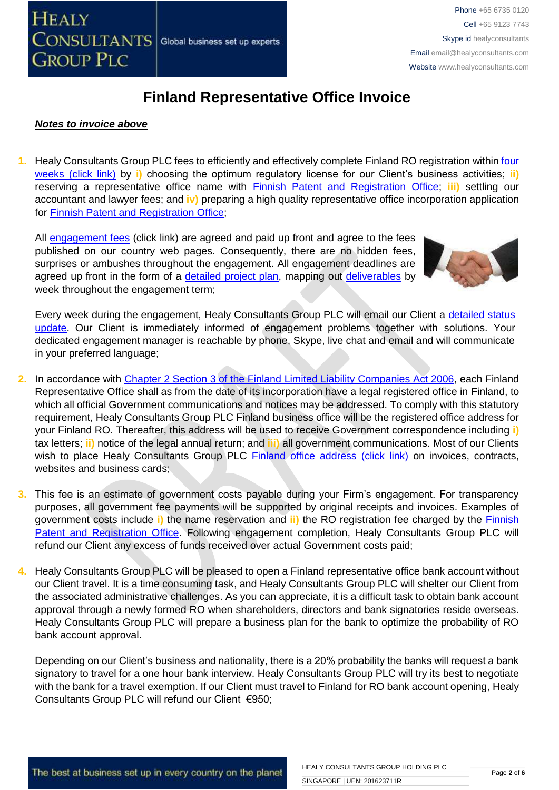#### *Notes to invoice above*

**1.** Healy Consultants Group PLC fees to efficiently and effectively complete Finland RO registration within [four](http://www.healyconsultants.com/finland-company-registration/fees-timelines/#timelines)  [weeks \(click link\)](http://www.healyconsultants.com/finland-company-registration/fees-timelines/#timelines) by **i)** choosing the optimum regulatory license for our Client's business activities; **ii)** reserving a representative office name with [Finnish Patent and Registration Office;](http://www.prh.fi/en/index.html) **iii)** settling our accountant and lawyer fees; and **iv)** preparing a high quality representative office incorporation application for [Finnish Patent and Registration Office;](http://www.prh.fi/en/index.html)

All [engagement fees](http://www.healyconsultants.com/company-registration-fees/) (click link) are agreed and paid up front and agree to the fees published on our country web pages. Consequently, there are no hidden fees, surprises or ambushes throughout the engagement. All engagement deadlines are agreed up front in the form of a [detailed project plan,](http://www.healyconsultants.com/index-important-links/example-project-plan/) mapping out [deliverables](http://www.healyconsultants.com/deliverables-to-our-clients/) by week throughout the engagement term;



Every week during the engagement, Healy Consultants Group PLC will email our Client a detailed status [update.](http://www.healyconsultants.com/index-important-links/weekly-engagement-status-email/) Our Client is immediately informed of engagement problems together with solutions. Your dedicated engagement manager is reachable by phone, Skype, live chat and email and will communicate in your preferred language;

- **2.** In accordance with [Chapter 2 Section 3 of the Finland Limited Liability Companies Act 2006,](http://www.finlex.fi/en/laki/kaannokset/2006/en20060624.pdf) each Finland Representative Office shall as from the date of its incorporation have a legal registered office in Finland, to which all official Government communications and notices may be addressed. To comply with this statutory requirement, Healy Consultants Group PLC Finland business office will be the registered office address for your Finland RO. Thereafter, this address will be used to receive Government correspondence including **i)** tax letters; **ii)** notice of the legal annual return; and **iii)** all government communications. Most of our Clients wish to place Healy Consultants Group PLC [Finland office address \(click link\)](http://www.healyconsultants.com/virtual-office/) on invoices, contracts, websites and business cards;
- **3.** This fee is an estimate of government costs payable during your Firm's engagement. For transparency purposes, all government fee payments will be supported by original receipts and invoices. Examples of government costs include **i)** the name reservation and **ii)** the RO registration fee charged by the [Finnish](http://www.prh.fi/en/index.html)  [Patent and Registration Office.](http://www.prh.fi/en/index.html) Following engagement completion, Healy Consultants Group PLC will refund our Client any excess of funds received over actual Government costs paid;
- **4.** Healy Consultants Group PLC will be pleased to open a Finland representative office bank account without our Client travel. It is a time consuming task, and Healy Consultants Group PLC will shelter our Client from the associated administrative challenges. As you can appreciate, it is a difficult task to obtain bank account approval through a newly formed RO when shareholders, directors and bank signatories reside overseas. Healy Consultants Group PLC will prepare a business plan for the bank to optimize the probability of RO bank account approval.

Depending on our Client's business and nationality, there is a 20% probability the banks will request a bank signatory to travel for a one hour bank interview. Healy Consultants Group PLC will try its best to negotiate with the bank for a travel exemption. If our Client must travel to Finland for RO bank account opening, Healy Consultants Group PLC will refund our Client €950;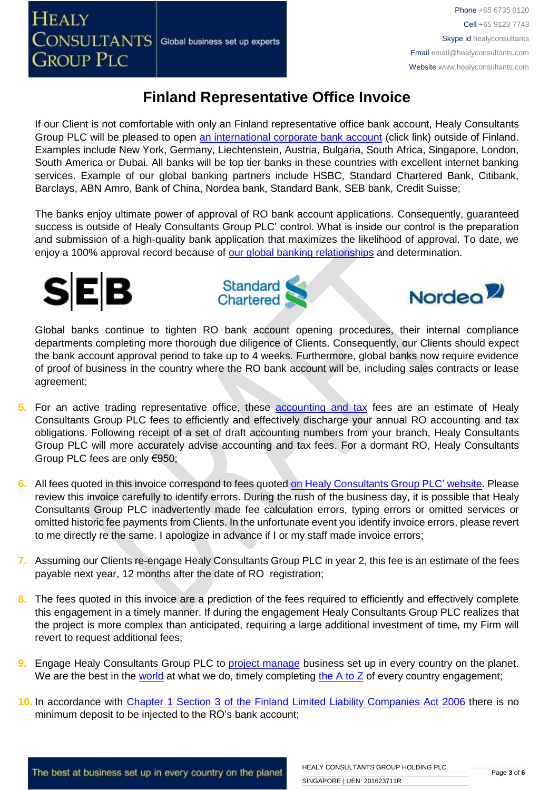If our Client is not comfortable with only an Finland representative office bank account, Healy Consultants Group PLC will be pleased to open [an international corporate bank account](http://www.healyconsultants.com/international-banking/) (click link) outside of Finland. Examples include New York, Germany, Liechtenstein, Austria, Bulgaria, South Africa, Singapore, London, South America or Dubai. All banks will be top tier banks in these countries with excellent internet banking services. Example of our global banking partners include HSBC, Standard Chartered Bank, Citibank, Barclays, ABN Amro, Bank of China, Nordea bank, Standard Bank, SEB bank, Credit Suisse;

The banks enjoy ultimate power of approval of RO bank account applications. Consequently, guaranteed success is outside of Healy Consultants Group PLC' control. What is inside our control is the preparation and submission of a high-quality bank application that maximizes the likelihood of approval. To date, we enjoy a 100% approval record because of [our global banking relationships](http://www.healyconsultants.com/international-banking/corporate-accounts/) and determination.







Global banks continue to tighten RO bank account opening procedures, their internal compliance departments completing more thorough due diligence of Clients. Consequently, our Clients should expect the bank account approval period to take up to 4 weeks. Furthermore, global banks now require evidence of proof of business in the country where the RO bank account will be, including sales contracts or lease agreement;

- **5.** For an active trading representative office, these [accounting and tax](http://www.healyconsultants.com/finland-company-registration/accounting-legal/) fees are an estimate of Healy Consultants Group PLC fees to efficiently and effectively discharge your annual RO accounting and tax obligations. Following receipt of a set of draft accounting numbers from your branch, Healy Consultants Group PLC will more accurately advise accounting and tax fees. For a dormant RO, Healy Consultants Group PLC fees are only €950;
- **6.** All fees quoted in this invoice correspond to fees quote[d on Healy Consultants Group PLC' website.](http://www.healyconsultants.com/company-registration-fees/) Please review this invoice carefully to identify errors. During the rush of the business day, it is possible that Healy Consultants Group PLC inadvertently made fee calculation errors, typing errors or omitted services or omitted historic fee payments from Clients. In the unfortunate event you identify invoice errors, please revert to me directly re the same. I apologize in advance if I or my staff made invoice errors;
- **7.** Assuming our Clients re-engage Healy Consultants Group PLC in year 2, this fee is an estimate of the fees payable next year, 12 months after the date of RO registration;
- **8.** The fees quoted in this invoice are a prediction of the fees required to efficiently and effectively complete this engagement in a timely manner. If during the engagement Healy Consultants Group PLC realizes that the project is more complex than anticipated, requiring a large additional investment of time, my Firm will revert to request additional fees;
- **9.** Engage Healy Consultants Group PLC to [project manage](http://www.healyconsultants.com/project-manage-engagements/) business set up in every country on the planet. We are the best in the [world](http://www.healyconsultants.com/best-in-the-world/) at what we do, timely completing the  $A$  to  $Z$  of every country engagement;
- **10.** In accordance with [Chapter 1 Section 3 of the Finland Limited Liability Companies Act 2006](http://www.finlex.fi/en/laki/kaannokset/2006/en20060624.pdf) there is no minimum deposit to be injected to the RO's bank account;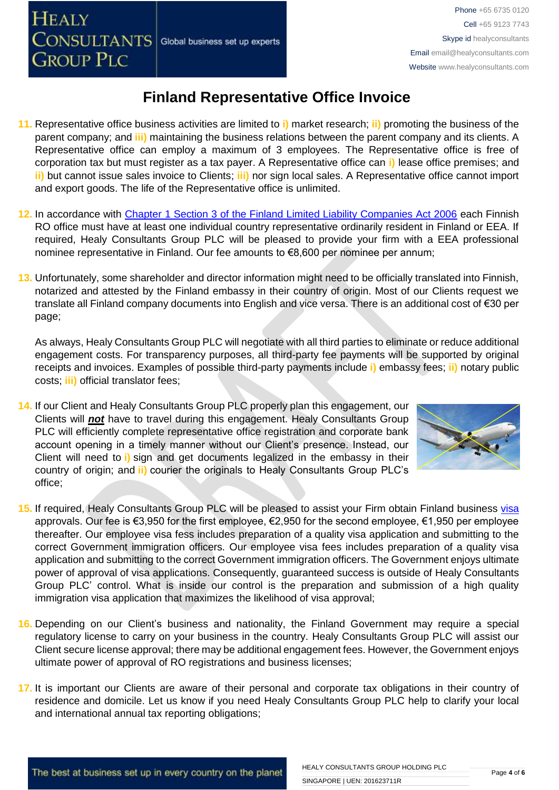**GROUP PLC** 

**HEALY** 

### **Finland Representative Office Invoice**

- **11.** Representative office business activities are limited to **i)** market research; **ii)** promoting the business of the parent company; and **iii)** maintaining the business relations between the parent company and its clients. A Representative office can employ a maximum of 3 employees. The Representative office is free of corporation tax but must register as a tax payer. A Representative office can **i)** lease office premises; and **ii)** but cannot issue sales invoice to Clients; **iii)** nor sign local sales. A Representative office cannot import and export goods. The life of the Representative office is unlimited.
- **12.** In accordance with [Chapter 1 Section 3 of the Finland Limited Liability Companies Act 2006](http://www.finlex.fi/en/laki/kaannokset/2006/en20060624.pdf) each Finnish RO office must have at least one individual country representative ordinarily resident in Finland or EEA. If required, Healy Consultants Group PLC will be pleased to provide your firm with a EEA professional nominee representative in Finland. Our fee amounts to €8,600 per nominee per annum;
- **13.** Unfortunately, some shareholder and director information might need to be officially translated into Finnish, notarized and attested by the Finland embassy in their country of origin. Most of our Clients request we translate all Finland company documents into English and vice versa. There is an additional cost of €30 per page;

As always, Healy Consultants Group PLC will negotiate with all third parties to eliminate or reduce additional engagement costs. For transparency purposes, all third-party fee payments will be supported by original receipts and invoices. Examples of possible third-party payments include **i)** embassy fees; **ii)** notary public costs; **iii)** official translator fees;

**14.** If our Client and Healy Consultants Group PLC properly plan this engagement, our Clients will *not* have to travel during this engagement. Healy Consultants Group PLC will efficiently complete representative office registration and corporate bank account opening in a timely manner without our Client's presence. Instead, our Client will need to **i)** sign and get documents legalized in the embassy in their country of origin; and **ii)** courier the originals to Healy Consultants Group PLC's office;



- **15.** If required, Healy Consultants Group PLC will be pleased to assist your Firm obtain Finland business [visa](http://www.healyconsultants.com/finland-company-registration/formation-support-services/)  approvals. Our fee is €3,950 for the first employee, €2,950 for the second employee, €1,950 per employee thereafter. Our employee visa fess includes preparation of a quality visa application and submitting to the correct Government immigration officers. Our employee visa fees includes preparation of a quality visa application and submitting to the correct Government immigration officers. The Government enjoys ultimate power of approval of visa applications. Consequently, guaranteed success is outside of Healy Consultants Group PLC' control. What is inside our control is the preparation and submission of a high quality immigration visa application that maximizes the likelihood of visa approval;
- **16.** Depending on our Client's business and nationality, the Finland Government may require a special regulatory license to carry on your business in the country. Healy Consultants Group PLC will assist our Client secure license approval; there may be additional engagement fees. However, the Government enjoys ultimate power of approval of RO registrations and business licenses;
- **17.** It is important our Clients are aware of their personal and corporate tax obligations in their country of residence and domicile. Let us know if you need Healy Consultants Group PLC help to clarify your local and international annual tax reporting obligations;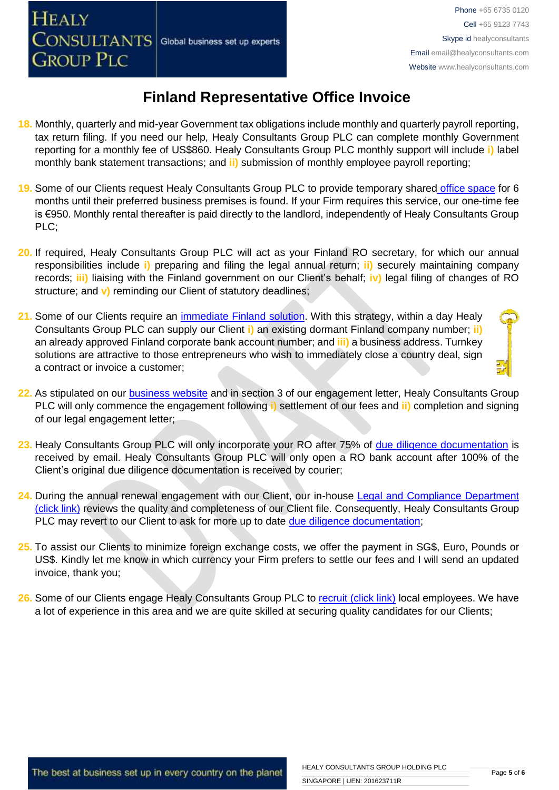- **18.** Monthly, quarterly and mid-year Government tax obligations include monthly and quarterly payroll reporting, tax return filing. If you need our help, Healy Consultants Group PLC can complete monthly Government reporting for a monthly fee of US\$860. Healy Consultants Group PLC monthly support will include **i)** label monthly bank statement transactions; and **ii)** submission of monthly employee payroll reporting;
- **19.** Some of our Clients request Healy Consultants Group PLC to provide temporary shared [office space](http://www.healyconsultants.com/virtual-office/) for 6 months until their preferred business premises is found. If your Firm requires this service, our one-time fee is €950. Monthly rental thereafter is paid directly to the landlord, independently of Healy Consultants Group PLC;
- **20.** If required, Healy Consultants Group PLC will act as your Finland RO secretary, for which our annual responsibilities include **i)** preparing and filing the legal annual return; **ii)** securely maintaining company records; **iii)** liaising with the Finland government on our Client's behalf; **iv)** legal filing of changes of RO structure; and **v)** reminding our Client of statutory deadlines;
- **21.** Some of our Clients require an [immediate Finland](http://www.healyconsultants.com/turnkey-solutions/) solution. With this strategy, within a day Healy Consultants Group PLC can supply our Client **i)** an existing dormant Finland company number; **ii)** an already approved Finland corporate bank account number; and **iii)** a business address. Turnkey solutions are attractive to those entrepreneurs who wish to immediately close a country deal, sign a contract or invoice a customer;
- **22.** As stipulated on our [business website](http://www.healyconsultants.com/) and in section 3 of our engagement letter, Healy Consultants Group PLC will only commence the engagement following **i)** settlement of our fees and **ii)** completion and signing of our legal engagement letter;
- **23.** Healy Consultants Group PLC will only incorporate your RO after 75% of [due diligence documentation](http://www.healyconsultants.com/due-diligence/) is received by email. Healy Consultants Group PLC will only open a RO bank account after 100% of the Client's original due diligence documentation is received by courier;
- 24. During the annual renewal engagement with our Client, our in-house Legal and Compliance Department [\(click link\)](http://www.healyconsultants.com/about-us/key-personnel/cai-xin-profile/) reviews the quality and completeness of our Client file. Consequently, Healy Consultants Group PLC may revert to our Client to ask for more up to date [due diligence documentation;](http://www.healyconsultants.com/due-diligence/)
- **25.** To assist our Clients to minimize foreign exchange costs, we offer the payment in SG\$, Euro, Pounds or US\$. Kindly let me know in which currency your Firm prefers to settle our fees and I will send an updated invoice, thank you;
- 26. Some of our Clients engage Healy Consultants Group PLC to [recruit \(click link\)](http://www.healyconsultants.com/corporate-outsourcing-services/how-we-help-our-clients-recruit-quality-employees/) local employees. We have a lot of experience in this area and we are quite skilled at securing quality candidates for our Clients;